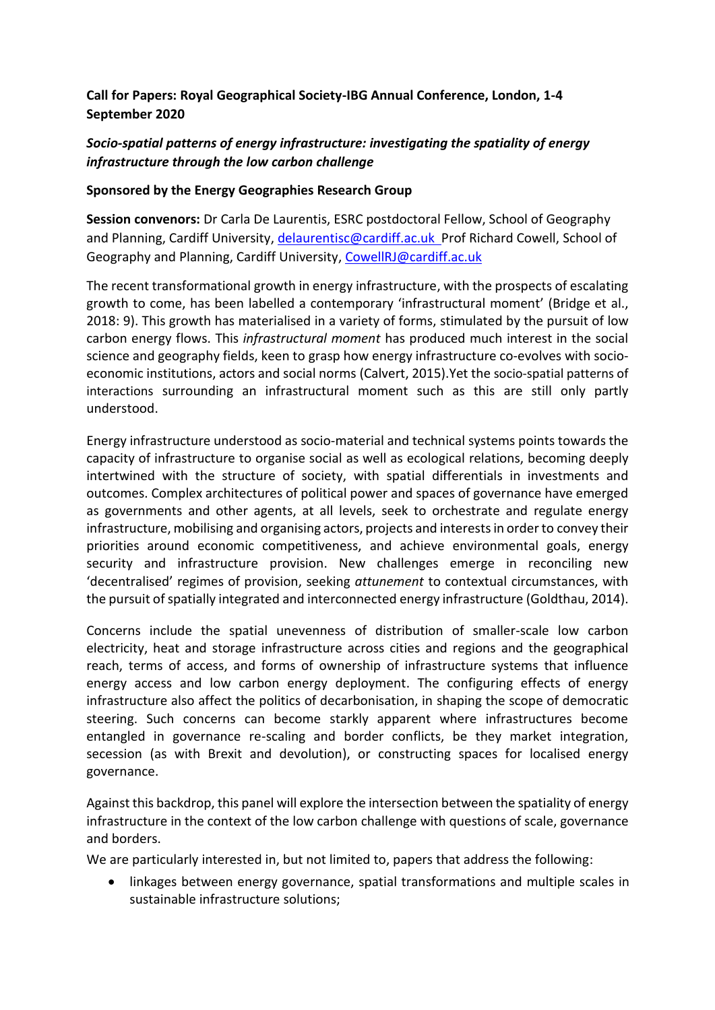# **Call for Papers: Royal Geographical Society-IBG Annual Conference, London, 1-4 September 2020**

# *Socio-spatial patterns of energy infrastructure: investigating the spatiality of energy infrastructure through the low carbon challenge*

## **Sponsored by the Energy Geographies Research Group**

**Session convenors:** Dr Carla De Laurentis, ESRC postdoctoral Fellow, School of Geography and Planning, Cardiff University, [delaurentisc@cardiff.ac.uk](mailto:delaurentisc@Cardiff.ac.uk) Prof Richard Cowell, School of Geography and Planning, Cardiff University, [CowellRJ@cardiff.ac.uk](mailto:CowellRJ@cardiff.ac.uk)

The recent transformational growth in energy infrastructure, with the prospects of escalating growth to come, has been labelled a contemporary 'infrastructural moment' (Bridge et al., 2018: 9). This growth has materialised in a variety of forms, stimulated by the pursuit of low carbon energy flows. This *infrastructural moment* has produced much interest in the social science and geography fields, keen to grasp how energy infrastructure co-evolves with socioeconomic institutions, actors and social norms (Calvert, 2015).Yet the socio-spatial patterns of interactions surrounding an infrastructural moment such as this are still only partly understood.

Energy infrastructure understood as socio-material and technical systems points towards the capacity of infrastructure to organise social as well as ecological relations, becoming deeply intertwined with the structure of society, with spatial differentials in investments and outcomes. Complex architectures of political power and spaces of governance have emerged as governments and other agents, at all levels, seek to orchestrate and regulate energy infrastructure, mobilising and organising actors, projects and interests in order to convey their priorities around economic competitiveness, and achieve environmental goals, energy security and infrastructure provision. New challenges emerge in reconciling new 'decentralised' regimes of provision, seeking *attunement* to contextual circumstances, with the pursuit of spatially integrated and interconnected energy infrastructure (Goldthau, 2014).

Concerns include the spatial unevenness of distribution of smaller-scale low carbon electricity, heat and storage infrastructure across cities and regions and the geographical reach, terms of access, and forms of ownership of infrastructure systems that influence energy access and low carbon energy deployment. The configuring effects of energy infrastructure also affect the politics of decarbonisation, in shaping the scope of democratic steering. Such concerns can become starkly apparent where infrastructures become entangled in governance re-scaling and border conflicts, be they market integration, secession (as with Brexit and devolution), or constructing spaces for localised energy governance.

Against this backdrop, this panel will explore the intersection between the spatiality of energy infrastructure in the context of the low carbon challenge with questions of scale, governance and borders.

We are particularly interested in, but not limited to, papers that address the following:

 linkages between energy governance, spatial transformations and multiple scales in sustainable infrastructure solutions;